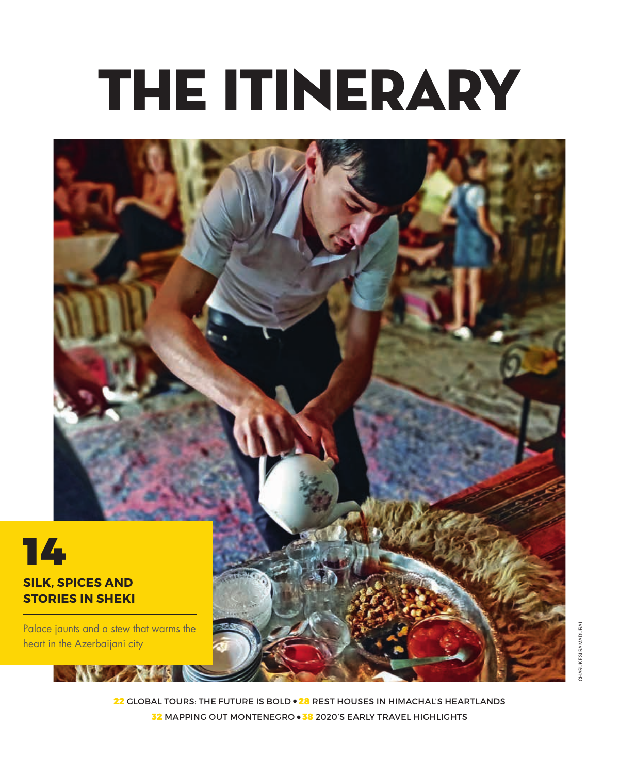# THE ITINERARY



22 GLOBAL TOURS: THE FUTURE IS BOLD . 28 REST HOUSES IN HIMACHAL'S HEARTLANDS 32 mapping out Montenegro 38 2020's early travel highlights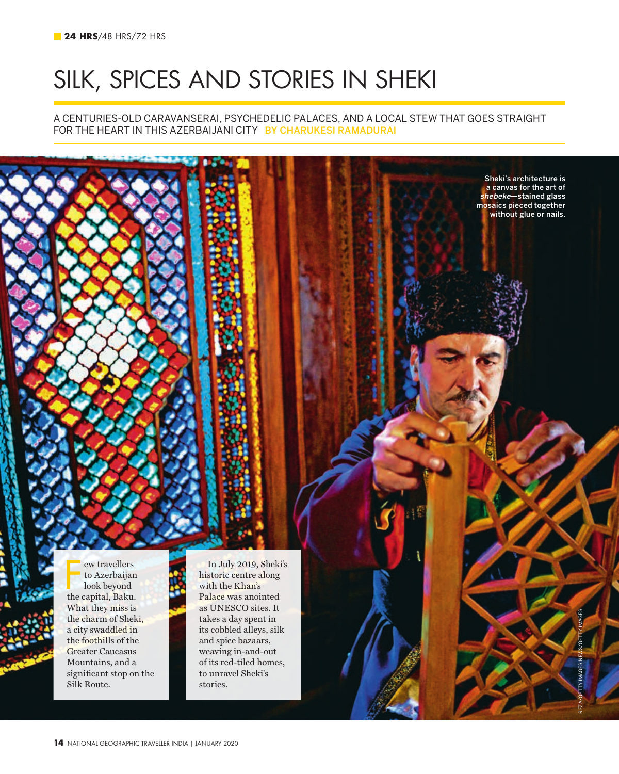## silk, spices and stories in sheki

A centuries-old caravanserai, psychedelic palaces, and a local stew that goes straight for the heart in this Azerbaijani city by Charukesi Ramadurai

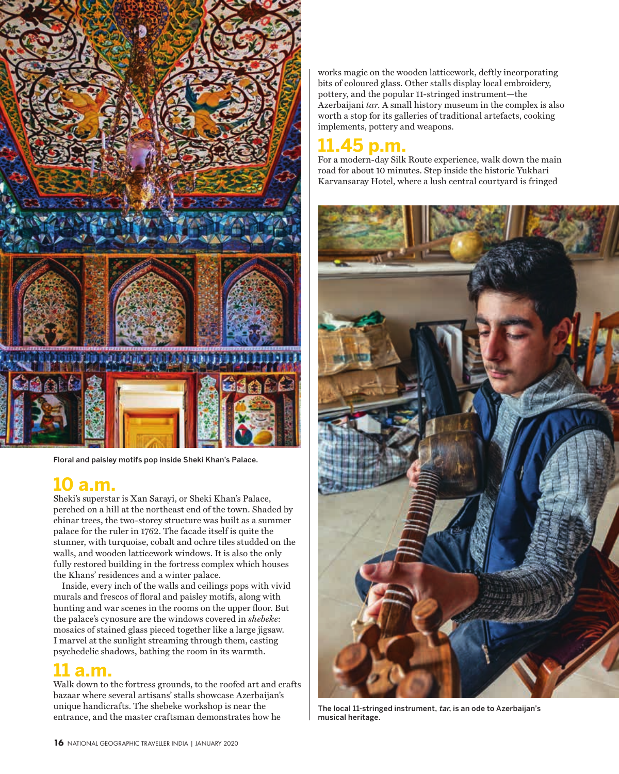

Floral and paisley motifs pop inside Sheki Khan's Palace.

## **10 a.m.**

Sheki's superstar is Xan Sarayi, or Sheki Khan's Palace, perched on a hill at the northeast end of the town. Shaded by chinar trees, the two-storey structure was built as a summer palace for the ruler in 1762. The facade itself is quite the stunner, with turquoise, cobalt and ochre tiles studded on the walls, and wooden latticework windows. It is also the only fully restored building in the fortress complex which houses the Khans' residences and a winter palace.

Inside, every inch of the walls and ceilings pops with vivid murals and frescos of floral and paisley motifs, along with hunting and war scenes in the rooms on the upper floor. But the palace's cynosure are the windows covered in *shebeke*: mosaics of stained glass pieced together like a large jigsaw. I marvel at the sunlight streaming through them, casting psychedelic shadows, bathing the room in its warmth.

### **11 a.m.**

Walk down to the fortress grounds, to the roofed art and crafts bazaar where several artisans' stalls showcase Azerbaijan's unique handicrafts. The shebeke workshop is near the entrance, and the master craftsman demonstrates how he

works magic on the wooden latticework, deftly incorporating bits of coloured glass. Other stalls display local embroidery, pottery, and the popular 11-stringed instrument—the Azerbaijani *tar*. A small history museum in the complex is also worth a stop for its galleries of traditional artefacts, cooking implements, pottery and weapons.

## **11.45 p.m.**

road for about 10 minutes. Step inside the historic Yukhari Karvansaray Hotel, where a lush central courtyard is fringed For a modern-day Silk Route experience, walk down the main



The local 11-stringed instrument, tar, is an ode to Azerbaijan's musical heritage.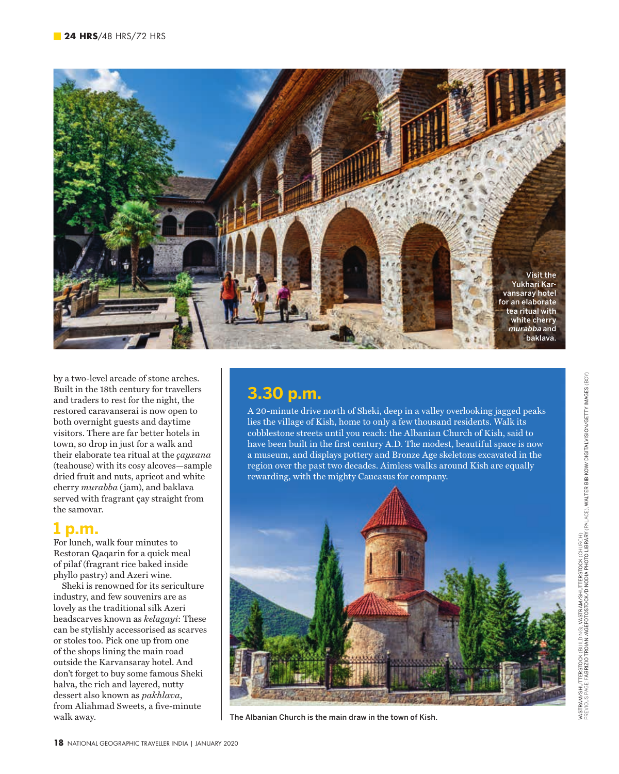

by a two-level arcade of stone arches. Built in the 18th century for travellers and traders to rest for the night, the restored caravanserai is now open to both overnight guests and daytime visitors. There are far better hotels in town, so drop in just for a walk and their elaborate tea ritual at the *çayxana* (teahouse) with its cosy alcoves—sample dried fruit and nuts, apricot and white cherry *murabba* (jam), and baklava served with fragrant çay straight from the samovar.

#### **1 p.m.**

For lunch, walk four minutes to Restoran Qaqarin for a quick meal of pilaf (fragrant rice baked inside phyllo pastry) and Azeri wine.

Sheki is renowned for its sericulture industry, and few souvenirs are as lovely as the traditional silk Azeri headscarves known as *kelagayi*: These can be stylishly accessorised as scarves or stoles too. Pick one up from one of the shops lining the main road outside the Karvansaray hotel. And don't forget to buy some famous Sheki halva, the rich and layered, nutty dessert also known as *pakhlava*, from Aliahmad Sweets, a five-minute walk away.

#### **3.30 p.m.**

A 20-minute drive north of Sheki, deep in a valley overlooking jagged peaks lies the village of Kish, home to only a few thousand residents. Walk its cobblestone streets until you reach: the Albanian Church of Kish, said to have been built in the first century A.D. The modest, beautiful space is now a museum, and displays pottery and Bronze Age skeletons excavated in the region over the past two decades. Aimless walks around Kish are equally rewarding, with the mighty Caucasus for company.



The Albanian Church is the main draw in the town of Kish.